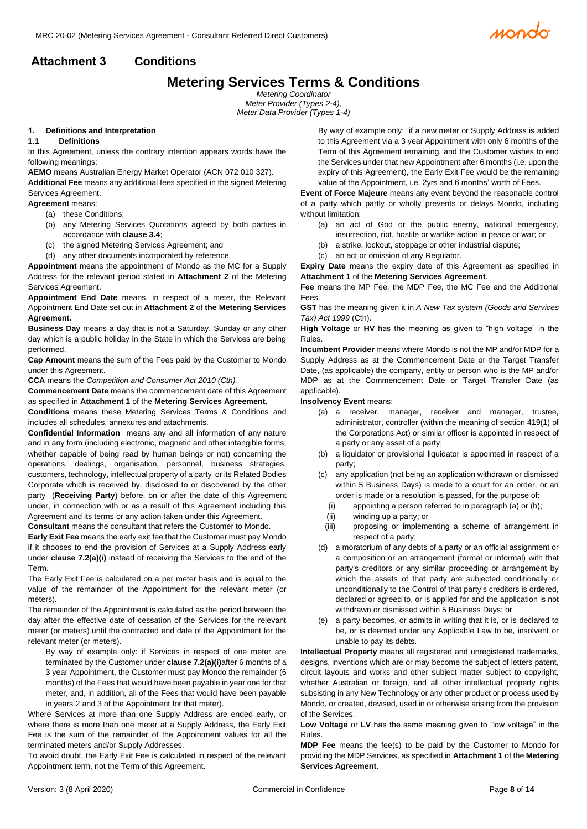

# **Attachment 3 Conditions**

# **Metering Services Terms & Conditions**

*Metering Coordinator Meter Provider (Types 2-4), Meter Data Provider (Types 1-4)*

#### **1. Definitions and Interpretation**

#### **1.1 Definitions**

In this Agreement, unless the contrary intention appears words have the following meanings:

**AEMO** means Australian Energy Market Operator (ACN 072 010 327).

**Additional Fee** means any additional fees specified in the signed Metering Services Agreement.

**Agreement** means:

- (a) these Conditions;
- (b) any Metering Services Quotations agreed by both parties in accordance with **claus[e 3.4](#page-2-0)**;
- (c) the signed Metering Services Agreement; and
- (d) any other documents incorporated by reference.

**Appointment** means the appointment of Mondo as the MC for a Supply Address for the relevant period stated in **Attachment 2** of the Metering Services Agreement.

**Appointment End Date** means, in respect of a meter, the Relevant Appointment End Date set out in **Attachment 2** of **the Metering Services Agreement.**

**Business Day** means a day that is not a Saturday, Sunday or any other day which is a public holiday in the State in which the Services are being performed.

**Cap Amount** means the sum of the Fees paid by the Customer to Mondo under this Agreement.

**CCA** means the *Competition and Consumer Act 2010 (Cth).*

**Commencement Date** means the commencement date of this Agreement as specified in **Attachment 1** of the **Metering Services Agreement**.

**Conditions** means these Metering Services Terms & Conditions and includes all schedules, annexures and attachments.

**Confidential Information** means any and all information of any nature and in any form (including electronic, magnetic and other intangible forms, whether capable of being read by human beings or not) concerning the operations, dealings, organisation, personnel, business strategies, customers, technology, intellectual property of a party or its Related Bodies Corporate which is received by, disclosed to or discovered by the other party (**Receiving Party**) before, on or after the date of this Agreement under, in connection with or as a result of this Agreement including this Agreement and its terms or any action taken under this Agreement.

**Consultant** means the consultant that refers the Customer to Mondo.

**Early Exit Fee** means the early exit fee that the Customer must pay Mondo if it chooses to end the provision of Services at a Supply Address early under **clause [7.2\(a\)\(i\)](#page-3-0)** instead of receiving the Services to the end of the Term.

The Early Exit Fee is calculated on a per meter basis and is equal to the value of the remainder of the Appointment for the relevant meter (or meters).

The remainder of the Appointment is calculated as the period between the day after the effective date of cessation of the Services for the relevant meter (or meters) until the contracted end date of the Appointment for the relevant meter (or meters).

By way of example only: if Services in respect of one meter are terminated by the Customer under **clause [7.2\(a\)\(i\)](#page-3-0)**after 6 months of a 3 year Appointment, the Customer must pay Mondo the remainder (6 months) of the Fees that would have been payable in year one for that meter, and, in addition, all of the Fees that would have been payable in years 2 and 3 of the Appointment for that meter).

Where Services at more than one Supply Address are ended early, or where there is more than one meter at a Supply Address, the Early Exit Fee is the sum of the remainder of the Appointment values for all the terminated meters and/or Supply Addresses.

To avoid doubt, the Early Exit Fee is calculated in respect of the relevant Appointment term, not the Term of this Agreement.

By way of example only: if a new meter or Supply Address is added to this Agreement via a 3 year Appointment with only 6 months of the Term of this Agreement remaining, and the Customer wishes to end the Services under that new Appointment after 6 months (i.e. upon the expiry of this Agreement), the Early Exit Fee would be the remaining value of the Appointment, i.e. 2yrs and 6 months' worth of Fees.

**Event of Force Majeure** means any event beyond the reasonable control of a party which partly or wholly prevents or delays Mondo, including without limitation:

- (a) an act of God or the public enemy, national emergency, insurrection, riot, hostile or warlike action in peace or war; or
- (b) a strike, lockout, stoppage or other industrial dispute;
- (c) an act or omission of any Regulator.

**Expiry Date** means the expiry date of this Agreement as specified in **Attachment 1** of the **Metering Services Agreement**.

**Fee** means the MP Fee, the MDP Fee, the MC Fee and the Additional Fees.

**GST** has the meaning given it in *A New Tax system (Goods and Services Tax) Act 1999* (Cth).

**High Voltage** or **HV** has the meaning as given to "high voltage" in the Rules.

**Incumbent Provider** means where Mondo is not the MP and/or MDP for a Supply Address as at the Commencement Date or the Target Transfer Date, (as applicable) the company, entity or person who is the MP and/or MDP as at the Commencement Date or Target Transfer Date (as applicable).

#### **Insolvency Event** means:

- (a) a receiver, manager, receiver and manager, trustee, administrator, controller (within the meaning of section 419(1) of the Corporations Act) or similar officer is appointed in respect of a party or any asset of a party;
- (b) a liquidator or provisional liquidator is appointed in respect of a party;
- (c) any application (not being an application withdrawn or dismissed within 5 Business Days) is made to a court for an order, or an order is made or a resolution is passed, for the purpose of:
	- (i) appointing a person referred to in paragraph (a) or (b);
	- (ii) winding up a party; or
- (iii) proposing or implementing a scheme of arrangement in respect of a party;
- (d) a moratorium of any debts of a party or an official assignment or a composition or an arrangement (formal or informal) with that party's creditors or any similar proceeding or arrangement by which the assets of that party are subjected conditionally or unconditionally to the Control of that party's creditors is ordered, declared or agreed to, or is applied for and the application is not withdrawn or dismissed within 5 Business Days; or
- (e) a party becomes, or admits in writing that it is, or is declared to be, or is deemed under any Applicable Law to be, insolvent or unable to pay its debts.

**Intellectual Property** means all registered and unregistered trademarks, designs, inventions which are or may become the subject of letters patent, circuit layouts and works and other subject matter subject to copyright, whether Australian or foreign, and all other intellectual property rights subsisting in any New Technology or any other product or process used by Mondo, or created, devised, used in or otherwise arising from the provision of the Services.

**Low Voltage** or **LV** has the same meaning given to "low voltage" in the Rules.

**MDP Fee** means the fee(s) to be paid by the Customer to Mondo for providing the MDP Services, as specified in **Attachment 1** of the **Metering Services Agreement**.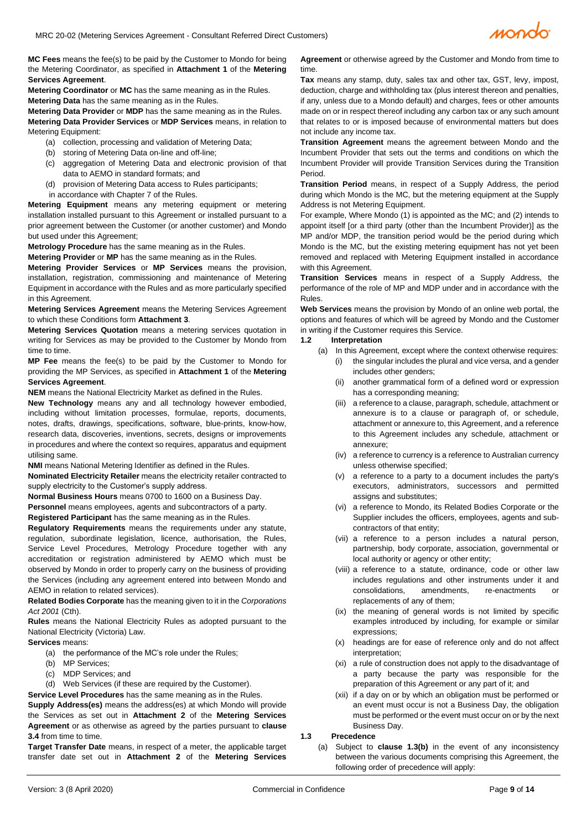

**MC Fees** means the fee(s) to be paid by the Customer to Mondo for being the Metering Coordinator, as specified in **Attachment 1** of the **Metering Services Agreement**.

**Metering Coordinator** or **MC** has the same meaning as in the Rules. **Metering Data** has the same meaning as in the Rules.

**Metering Data Provider** or **MDP** has the same meaning as in the Rules.

**Metering Data Provider Services** or **MDP Services** means, in relation to Metering Equipment:

- (a) collection, processing and validation of Metering Data;
- (b) storing of Metering Data on-line and off-line;
- (c) aggregation of Metering Data and electronic provision of that data to AEMO in standard formats; and
- (d) provision of Metering Data access to Rules participants; in accordance with Chapter 7 of the Rules.

**Metering Equipment** means any metering equipment or metering installation installed pursuant to this Agreement or installed pursuant to a prior agreement between the Customer (or another customer) and Mondo but used under this Agreement;

**Metrology Procedure** has the same meaning as in the Rules.

**Metering Provider** or **MP** has the same meaning as in the Rules.

**Metering Provider Services** or **MP Services** means the provision, installation, registration, commissioning and maintenance of Metering Equipment in accordance with the Rules and as more particularly specified in this Agreement.

**Metering Services Agreement** means the Metering Services Agreement to which these Conditions form **Attachment 3**.

**Metering Services Quotation** means a metering services quotation in writing for Services as may be provided to the Customer by Mondo from time to time.

**MP Fee** means the fee(s) to be paid by the Customer to Mondo for providing the MP Services, as specified in **Attachment 1** of the **Metering Services Agreement**.

**NEM** means the National Electricity Market as defined in the Rules.

**New Technology** means any and all technology however embodied, including without limitation processes, formulae, reports, documents, notes, drafts, drawings, specifications, software, blue-prints, know-how, research data, discoveries, inventions, secrets, designs or improvements in procedures and where the context so requires, apparatus and equipment utilising same.

**NMI** means National Metering Identifier as defined in the Rules.

**Nominated Electricity Retailer** means the electricity retailer contracted to supply electricity to the Customer's supply address.

**Normal Business Hours** means 0700 to 1600 on a Business Day.

**Personnel** means employees, agents and subcontractors of a party.

**Registered Participant** has the same meaning as in the Rules.

**Regulatory Requirements** means the requirements under any statute, regulation, subordinate legislation, licence, authorisation, the Rules, Service Level Procedures, Metrology Procedure together with any accreditation or registration administered by AEMO which must be observed by Mondo in order to properly carry on the business of providing the Services (including any agreement entered into between Mondo and AEMO in relation to related services).

**Related Bodies Corporate** has the meaning given to it in the *Corporations Act 2001* (Cth).

**Rules** means the National Electricity Rules as adopted pursuant to the National Electricity (Victoria) Law.

**Services** means:

(a) the performance of the MC's role under the Rules;

- (b) MP Services;
- (c) MDP Services; and
- (d) Web Services (if these are required by the Customer).

**Service Level Procedures** has the same meaning as in the Rules.

**Supply Address(es)** means the address(es) at which Mondo will provide the Services as set out in **Attachment 2** of the **Metering Services Agreement** or as otherwise as agreed by the parties pursuant to **clause [3.4](#page-2-0)** from time to time.

**Target Transfer Date** means, in respect of a meter, the applicable target transfer date set out in **Attachment 2** of the **Metering Services** 

**Agreement** or otherwise agreed by the Customer and Mondo from time to time.

**Tax** means any stamp, duty, sales tax and other tax, GST, levy, impost, deduction, charge and withholding tax (plus interest thereon and penalties, if any, unless due to a Mondo default) and charges, fees or other amounts made on or in respect thereof including any carbon tax or any such amount that relates to or is imposed because of environmental matters but does not include any income tax.

**Transition Agreement** means the agreement between Mondo and the Incumbent Provider that sets out the terms and conditions on which the Incumbent Provider will provide Transition Services during the Transition Period.

**Transition Period** means, in respect of a Supply Address, the period during which Mondo is the MC, but the metering equipment at the Supply Address is not Metering Equipment.

For example, Where Mondo (1) is appointed as the MC; and (2) intends to appoint itself [or a third party (other than the Incumbent Provider)] as the MP and/or MDP, the transition period would be the period during which Mondo is the MC, but the existing metering equipment has not yet been removed and replaced with Metering Equipment installed in accordance with this Agreement.

**Transition Services** means in respect of a Supply Address, the performance of the role of MP and MDP under and in accordance with the Rules.

**Web Services** means the provision by Mondo of an online web portal, the options and features of which will be agreed by Mondo and the Customer in writing if the Customer requires this Service.

# **1.2 Interpretation**

- (a) In this Agreement, except where the context otherwise requires: (i) the singular includes the plural and vice versa, and a gender
	- includes other genders; (ii) another grammatical form of a defined word or expression has a corresponding meaning;
	- (iii) a reference to a clause, paragraph, schedule, attachment or annexure is to a clause or paragraph of, or schedule, attachment or annexure to, this Agreement, and a reference to this Agreement includes any schedule, attachment or annexure;
	- (iv) a reference to currency is a reference to Australian currency unless otherwise specified;
	- (v) a reference to a party to a document includes the party's executors, administrators, successors and permitted assigns and substitutes;
	- (vi) a reference to Mondo, its Related Bodies Corporate or the Supplier includes the officers, employees, agents and subcontractors of that entity;
	- (vii) a reference to a person includes a natural person, partnership, body corporate, association, governmental or local authority or agency or other entity;
	- (viii) a reference to a statute, ordinance, code or other law includes regulations and other instruments under it and consolidations, amendments, re-enactments or replacements of any of them;
	- (ix) the meaning of general words is not limited by specific examples introduced by including, for example or similar expressions;
	- (x) headings are for ease of reference only and do not affect interpretation;
	- (xi) a rule of construction does not apply to the disadvantage of a party because the party was responsible for the preparation of this Agreement or any part of it; and
	- (xii) if a day on or by which an obligation must be performed or an event must occur is not a Business Day, the obligation must be performed or the event must occur on or by the next Business Day.

#### **1.3 Precedence**

(a) Subject to **clause [1.3\(b\)](#page-2-1)** in the event of any inconsistency between the various documents comprising this Agreement, the following order of precedence will apply: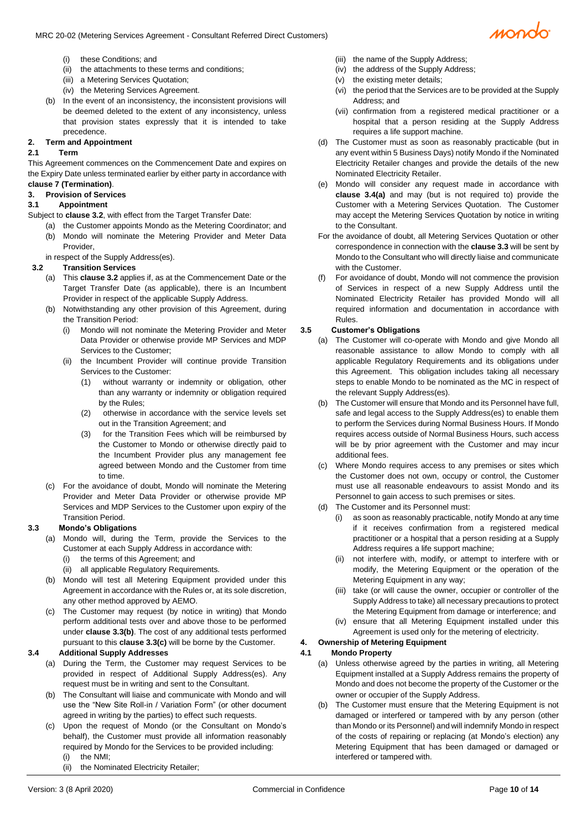

- (i) these Conditions; and
- (ii) the attachments to these terms and conditions;
- (iii) a Metering Services Quotation;
- (iv) the Metering Services Agreement.
- <span id="page-2-1"></span>(b) In the event of an inconsistency, the inconsistent provisions will be deemed deleted to the extent of any inconsistency, unless that provision states expressly that it is intended to take precedence.

# **2. Term and Appointment**

#### **2.1 Term**

This Agreement commences on the Commencement Date and expires on the Expiry Date unless terminated earlier by either party in accordance with **claus[e 7](#page-3-1) (Termination)**.

## **3. Provision of Services**

#### **3.1 Appointment**

- Subject to **claus[e 3.2](#page-2-2)**, with effect from the Target Transfer Date:
	- (a) the Customer appoints Mondo as the Metering Coordinator; and (b) Mondo will nominate the Metering Provider and Meter Data Provider,

in respect of the Supply Address(es).

# <span id="page-2-2"></span>**3.2 Transition Services**

- (a) This **claus[e 3.2](#page-2-2)** applies if, as at the Commencement Date or the Target Transfer Date (as applicable), there is an Incumbent Provider in respect of the applicable Supply Address.
- (b) Notwithstanding any other provision of this Agreement, during the Transition Period:
	- (i) Mondo will not nominate the Metering Provider and Meter Data Provider or otherwise provide MP Services and MDP Services to the Customer;
	- (ii) the Incumbent Provider will continue provide Transition Services to the Customer:
		- (1) without warranty or indemnity or obligation, other than any warranty or indemnity or obligation required by the Rules;
		- (2) otherwise in accordance with the service levels set out in the Transition Agreement; and
		- (3) for the Transition Fees which will be reimbursed by the Customer to Mondo or otherwise directly paid to the Incumbent Provider plus any management fee agreed between Mondo and the Customer from time to time.
- (c) For the avoidance of doubt, Mondo will nominate the Metering Provider and Meter Data Provider or otherwise provide MP Services and MDP Services to the Customer upon expiry of the Transition Period.

## **3.3 Mondo's Obligations**

- (a) Mondo will, during the Term, provide the Services to the Customer at each Supply Address in accordance with:
	- (i) the terms of this Agreement; and
	- (ii) all applicable Regulatory Requirements.
- (b) Mondo will test all Metering Equipment provided under this Agreement in accordance with the Rules or, at its sole discretion, any other method approved by AEMO.
- (c) The Customer may request (by notice in writing) that Mondo perform additional tests over and above those to be performed under **clause 3.3(b)**. The cost of any additional tests performed pursuant to this **clause 3.3(c)** will be borne by the Customer.

## <span id="page-2-0"></span>**3.4 Additional Supply Addresses**

- (a) During the Term, the Customer may request Services to be provided in respect of Additional Supply Address(es). Any request must be in writing and sent to the Consultant.
- (b) The Consultant will liaise and communicate with Mondo and will use the "New Site Roll-in / Variation Form" (or other document agreed in writing by the parties) to effect such requests.
- (c) Upon the request of Mondo (or the Consultant on Mondo's behalf), the Customer must provide all information reasonably required by Mondo for the Services to be provided including: (i) the NMI<sup>-</sup>
	- (ii) the Nominated Electricity Retailer;
- (iii) the name of the Supply Address;
- (iv) the address of the Supply Address;
	- (v) the existing meter details;
	- (vi) the period that the Services are to be provided at the Supply Address; and
	- (vii) confirmation from a registered medical practitioner or a hospital that a person residing at the Supply Address requires a life support machine.
- (d) The Customer must as soon as reasonably practicable (but in any event within 5 Business Days) notify Mondo if the Nominated Electricity Retailer changes and provide the details of the new Nominated Electricity Retailer.
- (e) Mondo will consider any request made in accordance with **clause 3.4(a)** and may (but is not required to) provide the Customer with a Metering Services Quotation. The Customer may accept the Metering Services Quotation by notice in writing to the Consultant.
- For the avoidance of doubt, all Metering Services Quotation or other correspondence in connection with the **clause 3.3** will be sent by Mondo to the Consultant who will directly liaise and communicate with the Customer.
- (f) For avoidance of doubt, Mondo will not commence the provision of Services in respect of a new Supply Address until the Nominated Electricity Retailer has provided Mondo will all required information and documentation in accordance with Rules.

# **3.5 Customer's Obligations**

- (a) The Customer will co-operate with Mondo and give Mondo all reasonable assistance to allow Mondo to comply with all applicable Regulatory Requirements and its obligations under this Agreement. This obligation includes taking all necessary steps to enable Mondo to be nominated as the MC in respect of the relevant Supply Address(es).
- (b) The Customer will ensure that Mondo and its Personnel have full, safe and legal access to the Supply Address(es) to enable them to perform the Services during Normal Business Hours. If Mondo requires access outside of Normal Business Hours, such access will be by prior agreement with the Customer and may incur additional fees.
- (c) Where Mondo requires access to any premises or sites which the Customer does not own, occupy or control, the Customer must use all reasonable endeavours to assist Mondo and its Personnel to gain access to such premises or sites.
- (d) The Customer and its Personnel must:
	- (i) as soon as reasonably practicable, notify Mondo at any time if it receives confirmation from a registered medical practitioner or a hospital that a person residing at a Supply Address requires a life support machine;
	- (ii) not interfere with, modify, or attempt to interfere with or modify, the Metering Equipment or the operation of the Metering Equipment in any way;
	- (iii) take (or will cause the owner, occupier or controller of the Supply Address to take) all necessary precautions to protect the Metering Equipment from damage or interference; and
	- (iv) ensure that all Metering Equipment installed under this Agreement is used only for the metering of electricity.

#### **4. Ownership of Metering Equipment 4.1 Mondo Property**

- (a) Unless otherwise agreed by the parties in writing, all Metering Equipment installed at a Supply Address remains the property of Mondo and does not become the property of the Customer or the owner or occupier of the Supply Address.
- (b) The Customer must ensure that the Metering Equipment is not damaged or interfered or tampered with by any person (other than Mondo or its Personnel) and will indemnify Mondo in respect of the costs of repairing or replacing (at Mondo's election) any Metering Equipment that has been damaged or damaged or interfered or tampered with.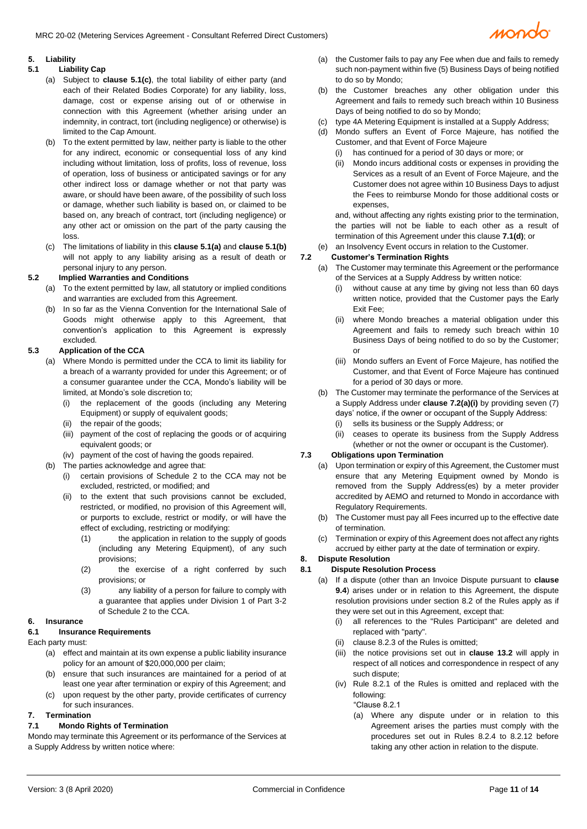

## **5. Liability**

## <span id="page-3-3"></span>**5.1 Liability Cap**

- (a) Subject to **clause [5.1\(c\)](#page-3-2)**, the total liability of either party (and each of their Related Bodies Corporate) for any liability, loss, damage, cost or expense arising out of or otherwise in connection with this Agreement (whether arising under an indemnity, in contract, tort (including negligence) or otherwise) is limited to the Cap Amount.
- <span id="page-3-4"></span>(b) To the extent permitted by law, neither party is liable to the other for any indirect, economic or consequential loss of any kind including without limitation, loss of profits, loss of revenue, loss of operation, loss of business or anticipated savings or for any other indirect loss or damage whether or not that party was aware, or should have been aware, of the possibility of such loss or damage, whether such liability is based on, or claimed to be based on, any breach of contract, tort (including negligence) or any other act or omission on the part of the party causing the loss.
- <span id="page-3-2"></span>(c) The limitations of liability in this **claus[e 5.1\(a\)](#page-3-3)** and **claus[e 5.1\(b\)](#page-3-4)** will not apply to any liability arising as a result of death or personal injury to any person.

## **5.2 Implied Warranties and Conditions**

- (a) To the extent permitted by law, all statutory or implied conditions and warranties are excluded from this Agreement.
- (b) In so far as the Vienna Convention for the International Sale of Goods might otherwise apply to this Agreement, that convention's application to this Agreement is expressly excluded.

# **5.3 Application of the CCA**

- (a) Where Mondo is permitted under the CCA to limit its liability for a breach of a warranty provided for under this Agreement; or of a consumer guarantee under the CCA, Mondo's liability will be limited, at Mondo's sole discretion to;
	- (i) the replacement of the goods (including any Metering Equipment) or supply of equivalent goods;
	- (ii) the repair of the goods;
	- (iii) payment of the cost of replacing the goods or of acquiring equivalent goods; or
	- (iv) payment of the cost of having the goods repaired.
- (b) The parties acknowledge and agree that:
	- (i) certain provisions of Schedule 2 to the CCA may not be excluded, restricted, or modified; and
	- (ii) to the extent that such provisions cannot be excluded, restricted, or modified, no provision of this Agreement will, or purports to exclude, restrict or modify, or will have the effect of excluding, restricting or modifying:
		- (1) the application in relation to the supply of goods (including any Metering Equipment), of any such provisions;
		- (2) the exercise of a right conferred by such provisions; or
		- (3) any liability of a person for failure to comply with a guarantee that applies under Division 1 of Part 3-2 of Schedule 2 to the CCA.

## **6. Insurance**

# **6.1 Insurance Requirements**

Each party must:

- (a) effect and maintain at its own expense a public liability insurance policy for an amount of \$20,000,000 per claim;
- (b) ensure that such insurances are maintained for a period of at least one year after termination or expiry of this Agreement; and
- (c) upon request by the other party, provide certificates of currency for such insurances.

# <span id="page-3-1"></span>**7. Termination**

## <span id="page-3-5"></span>**7.1 Mondo Rights of Termination**

Mondo may terminate this Agreement or its performance of the Services at a Supply Address by written notice where:

- (a) the Customer fails to pay any Fee when due and fails to remedy such non-payment within five (5) Business Days of being notified to do so by Mondo;
- (b) the Customer breaches any other obligation under this Agreement and fails to remedy such breach within 10 Business Days of being notified to do so by Mondo;
- <span id="page-3-6"></span>(c) type 4A Metering Equipment is installed at a Supply Address;
- Mondo suffers an Event of Force Majeure, has notified the Customer, and that Event of Force Majeure
	- (i) has continued for a period of 30 days or more; or
	- (ii) Mondo incurs additional costs or expenses in providing the Services as a result of an Event of Force Majeure, and the Customer does not agree within 10 Business Days to adjust the Fees to reimburse Mondo for those additional costs or expenses,

and, without affecting any rights existing prior to the termination, the parties will not be liable to each other as a result of termination of this Agreement under this clause **[7.1](#page-3-5)[\(d\)](#page-3-6)**; or

(e) an Insolvency Event occurs in relation to the Customer.

# **7.2 Customer's Termination Rights**

- <span id="page-3-0"></span>(a) The Customer may terminate this Agreement or the performance of the Services at a Supply Address by written notice:
	- (i) without cause at any time by giving not less than 60 days written notice, provided that the Customer pays the Early Exit Fee;
	- (ii) where Mondo breaches a material obligation under this Agreement and fails to remedy such breach within 10 Business Days of being notified to do so by the Customer; or
	- (iii) Mondo suffers an Event of Force Majeure, has notified the Customer, and that Event of Force Majeure has continued for a period of 30 days or more.
- (b) The Customer may terminate the performance of the Services at a Supply Address under **claus[e 7.2\(a\)\(i\)](#page-3-0)** by providing seven (7) days' notice, if the owner or occupant of the Supply Address: (i) sells its business or the Supply Address; or
	- (ii) ceases to operate its business from the Supply Address (whether or not the owner or occupant is the Customer).

# **7.3 Obligations upon Termination**

- (a) Upon termination or expiry of this Agreement, the Customer must ensure that any Metering Equipment owned by Mondo is removed from the Supply Address(es) by a meter provider accredited by AEMO and returned to Mondo in accordance with Regulatory Requirements.
- (b) The Customer must pay all Fees incurred up to the effective date of termination.
- (c) Termination or expiry of this Agreement does not affect any rights accrued by either party at the date of termination or expiry.

# <span id="page-3-7"></span>**8. Dispute Resolution**

# **8.1 Dispute Resolution Process**

- (a) If a dispute (other than an Invoice Dispute pursuant to **clause 9.4**) arises under or in relation to this Agreement, the dispute resolution provisions under section 8.2 of the Rules apply as if they were set out in this Agreement, except that:
	- (i) all references to the "Rules Participant" are deleted and replaced with "party".
	- (ii) clause 8.2.3 of the Rules is omitted;
	- (iii) the notice provisions set out in **clause [13.2](#page-5-0)** will apply in respect of all notices and correspondence in respect of any such dispute;
	- (iv) Rule 8.2.1 of the Rules is omitted and replaced with the following:
		- "Clause 8.2.1
		- (a) Where any dispute under or in relation to this Agreement arises the parties must comply with the procedures set out in Rules 8.2.4 to 8.2.12 before taking any other action in relation to the dispute.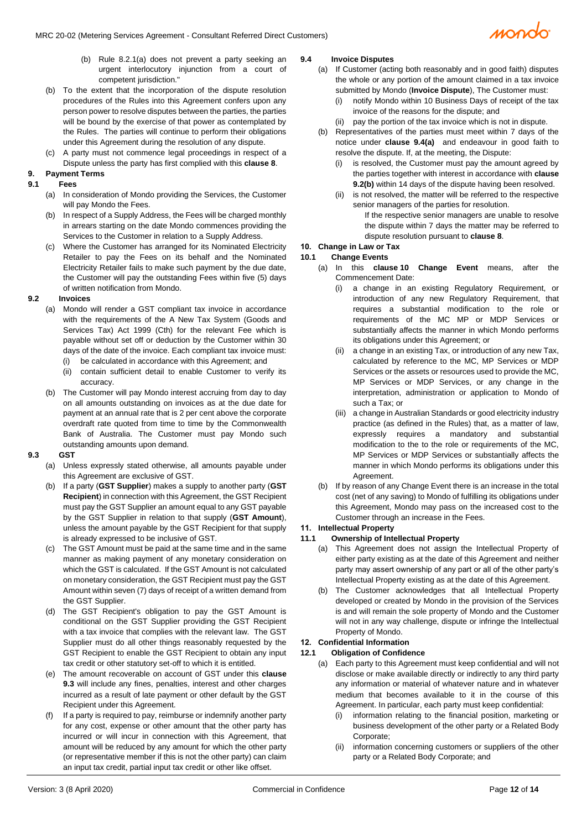- (b) Rule 8.2.1(a) does not prevent a party seeking an urgent interlocutory injunction from a court of competent jurisdiction."
- (b) To the extent that the incorporation of the dispute resolution procedures of the Rules into this Agreement confers upon any person power to resolve disputes between the parties, the parties will be bound by the exercise of that power as contemplated by the Rules. The parties will continue to perform their obligations under this Agreement during the resolution of any dispute.
- (c) A party must not commence legal proceedings in respect of a Dispute unless the party has first complied with this **clause [8](#page-3-7)**.

# **9. Payment Terms**

# **9.1 Fees**

- (a) In consideration of Mondo providing the Services, the Customer will pay Mondo the Fees.
- (b) In respect of a Supply Address, the Fees will be charged monthly in arrears starting on the date Mondo commences providing the Services to the Customer in relation to a Supply Address.
- (c) Where the Customer has arranged for its Nominated Electricity Retailer to pay the Fees on its behalf and the Nominated Electricity Retailer fails to make such payment by the due date, the Customer will pay the outstanding Fees within five (5) days of written notification from Mondo.

# **9.2 Invoices**

- (a) Mondo will render a GST compliant tax invoice in accordance with the requirements of the A New Tax System (Goods and Services Tax) Act 1999 (Cth) for the relevant Fee which is payable without set off or deduction by the Customer within 30 days of the date of the invoice. Each compliant tax invoice must: (i) be calculated in accordance with this Agreement; and
	- (ii) contain sufficient detail to enable Customer to verify its accuracy.
- <span id="page-4-2"></span>(b) The Customer will pay Mondo interest accruing from day to day on all amounts outstanding on invoices as at the due date for payment at an annual rate that is 2 per cent above the corporate overdraft rate quoted from time to time by the Commonwealth Bank of Australia. The Customer must pay Mondo such outstanding amounts upon demand.

## <span id="page-4-0"></span>**9.3 GST**

- (a) Unless expressly stated otherwise, all amounts payable under this Agreement are exclusive of GST.
- (b) If a party (**GST Supplier**) makes a supply to another party (**GST Recipient**) in connection with this Agreement, the GST Recipient must pay the GST Supplier an amount equal to any GST payable by the GST Supplier in relation to that supply (**GST Amount**), unless the amount payable by the GST Recipient for that supply is already expressed to be inclusive of GST.
- (c) The GST Amount must be paid at the same time and in the same manner as making payment of any monetary consideration on which the GST is calculated. If the GST Amount is not calculated on monetary consideration, the GST Recipient must pay the GST Amount within seven (7) days of receipt of a written demand from the GST Supplier.
- (d) The GST Recipient's obligation to pay the GST Amount is conditional on the GST Supplier providing the GST Recipient with a tax invoice that complies with the relevant law. The GST Supplier must do all other things reasonably requested by the GST Recipient to enable the GST Recipient to obtain any input tax credit or other statutory set-off to which it is entitled.
- (e) The amount recoverable on account of GST under this **clause [9.3](#page-4-0)** will include any fines, penalties, interest and other charges incurred as a result of late payment or other default by the GST Recipient under this Agreement.
- If a party is required to pay, reimburse or indemnify another party for any cost, expense or other amount that the other party has incurred or will incur in connection with this Agreement, that amount will be reduced by any amount for which the other party (or representative member if this is not the other party) can claim an input tax credit, partial input tax credit or other like offset.

# <span id="page-4-1"></span>**9.4 Invoice Disputes**

- (a) If Customer (acting both reasonably and in good faith) disputes the whole or any portion of the amount claimed in a tax invoice submitted by Mondo (**Invoice Dispute**), The Customer must:
	- (i) notify Mondo within 10 Business Days of receipt of the tax invoice of the reasons for the dispute; and
	- (ii) pay the portion of the tax invoice which is not in dispute.
- (b) Representatives of the parties must meet within 7 days of the notice under **clause [9.4\(a\)](#page-4-1)** and endeavour in good faith to resolve the dispute. If, at the meeting, the Dispute:
	- (i) is resolved, the Customer must pay the amount agreed by the parties together with interest in accordance with **clause [9.2\(b\)](#page-4-2)** within 14 days of the dispute having been resolved.
	- (ii) is not resolved, the matter will be referred to the respective senior managers of the parties for resolution.
		- If the respective senior managers are unable to resolve the dispute within 7 days the matter may be referred to dispute resolution pursuant to **claus[e 8](#page-3-7)**.

# <span id="page-4-3"></span>**10. Change in Law or Tax**

## **10.1 Change Events**

- (a) In this **clause [10](#page-4-3) Change Event** means, after the Commencement Date:
	- (i) a change in an existing Regulatory Requirement, or introduction of any new Regulatory Requirement, that requires a substantial modification to the role or requirements of the MC MP or MDP Services or substantially affects the manner in which Mondo performs its obligations under this Agreement; or
	- (ii) a change in an existing Tax, or introduction of any new Tax, calculated by reference to the MC, MP Services or MDP Services or the assets or resources used to provide the MC, MP Services or MDP Services, or any change in the interpretation, administration or application to Mondo of such a Tax; or
	- (iii) a change in Australian Standards or good electricity industry practice (as defined in the Rules) that, as a matter of law, expressly requires a mandatory and substantial modification to the to the role or requirements of the MC, MP Services or MDP Services or substantially affects the manner in which Mondo performs its obligations under this Agreement.
	- (b) If by reason of any Change Event there is an increase in the total cost (net of any saving) to Mondo of fulfilling its obligations under this Agreement, Mondo may pass on the increased cost to the Customer through an increase in the Fees.

# **11. Intellectual Property**

# **11.1 Ownership of Intellectual Property**

- (a) This Agreement does not assign the Intellectual Property of either party existing as at the date of this Agreement and neither party may assert ownership of any part or all of the other party's Intellectual Property existing as at the date of this Agreement.
- (b) The Customer acknowledges that all Intellectual Property developed or created by Mondo in the provision of the Services is and will remain the sole property of Mondo and the Customer will not in any way challenge, dispute or infringe the Intellectual Property of Mondo.

# **12. Confidential Information**

## <span id="page-4-4"></span>**12.1 Obligation of Confidence**

- (a) Each party to this Agreement must keep confidential and will not disclose or make available directly or indirectly to any third party any information or material of whatever nature and in whatever medium that becomes available to it in the course of this Agreement. In particular, each party must keep confidential:
	- (i) information relating to the financial position, marketing or business development of the other party or a Related Body Corporate;
	- (ii) information concerning customers or suppliers of the other party or a Related Body Corporate; and

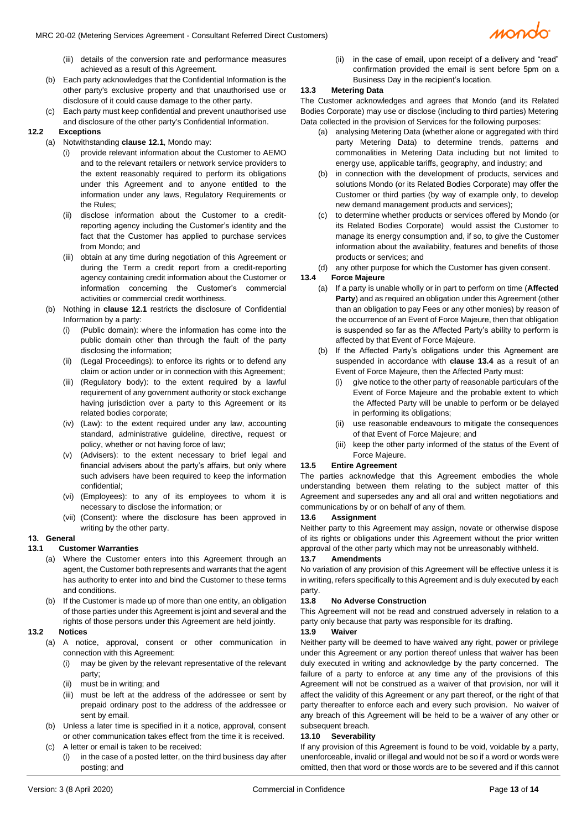- (iii) details of the conversion rate and performance measures achieved as a result of this Agreement.
- (b) Each party acknowledges that the Confidential Information is the other party's exclusive property and that unauthorised use or disclosure of it could cause damage to the other party.
- (c) Each party must keep confidential and prevent unauthorised use and disclosure of the other party's Confidential Information.

#### **12.2 Exceptions**

- (a) Notwithstanding **claus[e 12.1](#page-4-4)**, Mondo may:
	- (i) provide relevant information about the Customer to AEMO and to the relevant retailers or network service providers to the extent reasonably required to perform its obligations under this Agreement and to anyone entitled to the information under any laws, Regulatory Requirements or the Rules;
	- (ii) disclose information about the Customer to a creditreporting agency including the Customer's identity and the fact that the Customer has applied to purchase services from Mondo; and
	- (iii) obtain at any time during negotiation of this Agreement or during the Term a credit report from a credit-reporting agency containing credit information about the Customer or information concerning the Customer's commercial activities or commercial credit worthiness.
	- (b) Nothing in **clause [12.1](#page-4-4)** restricts the disclosure of Confidential Information by a party:
		- (i) (Public domain): where the information has come into the public domain other than through the fault of the party disclosing the information;
		- (ii) (Legal Proceedings): to enforce its rights or to defend any claim or action under or in connection with this Agreement;
		- (iii) (Regulatory body): to the extent required by a lawful requirement of any government authority or stock exchange having jurisdiction over a party to this Agreement or its related bodies corporate;
		- (iv) (Law): to the extent required under any law, accounting standard, administrative guideline, directive, request or policy, whether or not having force of law;
		- (v) (Advisers): to the extent necessary to brief legal and financial advisers about the party's affairs, but only where such advisers have been required to keep the information confidential;
		- (vi) (Employees): to any of its employees to whom it is necessary to disclose the information; or
		- (vii) (Consent): where the disclosure has been approved in writing by the other party.

#### **13. General**

#### **13.1 Customer Warranties**

- (a) Where the Customer enters into this Agreement through an agent, the Customer both represents and warrants that the agent has authority to enter into and bind the Customer to these terms and conditions.
- (b) If the Customer is made up of more than one entity, an obligation of those parties under this Agreement is joint and several and the rights of those persons under this Agreement are held jointly.

#### <span id="page-5-0"></span>**13.2 Notices**

- (a) A notice, approval, consent or other communication in connection with this Agreement:
	- (i) may be given by the relevant representative of the relevant party;
	- (ii) must be in writing; and
	- (iii) must be left at the address of the addressee or sent by prepaid ordinary post to the address of the addressee or sent by email.
- (b) Unless a later time is specified in it a notice, approval, consent or other communication takes effect from the time it is received. (c) A letter or email is taken to be received:
	- (i) in the case of a posted letter, on the third business day after posting; and

(ii) in the case of email, upon receipt of a delivery and "read" confirmation provided the email is sent before 5pm on a Business Day in the recipient's location.

#### **13.3 Metering Data**

The Customer acknowledges and agrees that Mondo (and its Related Bodies Corporate) may use or disclose (including to third parties) Metering Data collected in the provision of Services for the following purposes:

- (a) analysing Metering Data (whether alone or aggregated with third party Metering Data) to determine trends, patterns and commonalities in Metering Data including but not limited to energy use, applicable tariffs, geography, and industry; and
- (b) in connection with the development of products, services and solutions Mondo (or its Related Bodies Corporate) may offer the Customer or third parties (by way of example only, to develop new demand management products and services);
- (c) to determine whether products or services offered by Mondo (or its Related Bodies Corporate) would assist the Customer to manage its energy consumption and, if so, to give the Customer information about the availability, features and benefits of those products or services; and
- (d) any other purpose for which the Customer has given consent.

#### **13.4 Force Majeure**

- (a) If a party is unable wholly or in part to perform on time (**Affected Party**) and as required an obligation under this Agreement (other than an obligation to pay Fees or any other monies) by reason of the occurrence of an Event of Force Majeure, then that obligation is suspended so far as the Affected Party's ability to perform is affected by that Event of Force Majeure.
- (b) If the Affected Party's obligations under this Agreement are suspended in accordance with **clause 13.4** as a result of an Event of Force Majeure, then the Affected Party must:
	- (i) give notice to the other party of reasonable particulars of the Event of Force Majeure and the probable extent to which the Affected Party will be unable to perform or be delayed in performing its obligations;
	- (ii) use reasonable endeavours to mitigate the consequences of that Event of Force Majeure; and
	- (iii) keep the other party informed of the status of the Event of Force Majeure.

#### **13.5 Entire Agreement**

The parties acknowledge that this Agreement embodies the whole understanding between them relating to the subject matter of this Agreement and supersedes any and all oral and written negotiations and communications by or on behalf of any of them.

#### **13.6 Assignment**

Neither party to this Agreement may assign, novate or otherwise dispose of its rights or obligations under this Agreement without the prior written approval of the other party which may not be unreasonably withheld.

#### **13.7 Amendments**

No variation of any provision of this Agreement will be effective unless it is in writing, refers specifically to this Agreement and is duly executed by each party.

## **13.8 No Adverse Construction**

This Agreement will not be read and construed adversely in relation to a party only because that party was responsible for its drafting.

# **13.9 Waiver**

Neither party will be deemed to have waived any right, power or privilege under this Agreement or any portion thereof unless that waiver has been duly executed in writing and acknowledge by the party concerned. The failure of a party to enforce at any time any of the provisions of this Agreement will not be construed as a waiver of that provision, nor will it affect the validity of this Agreement or any part thereof, or the right of that party thereafter to enforce each and every such provision. No waiver of any breach of this Agreement will be held to be a waiver of any other or subsequent breach.

#### **13.10 Severability**

If any provision of this Agreement is found to be void, voidable by a party, unenforceable, invalid or illegal and would not be so if a word or words were omitted, then that word or those words are to be severed and if this cannot